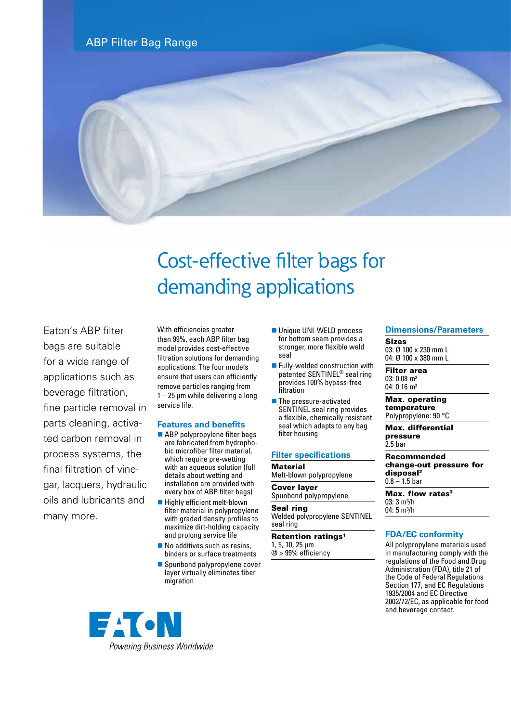



# Cost-effective filter bags for demanding applications

Eaton's ABP filter bags are suitable for a wide range of applications such as beverage filtration, fine particle removal in parts cleaning, activated carbon removal in process systems, the final filtration of vinegar, lacquers, hydraulic oils and lubricants and many more.

With efficiencies greater than 99%, each ABP filter bag model provides cost-effective filtration solutions for demanding applications. The four models ensure that users can efficiently remove particles ranging from 1 – 25 μm while delivering a long service life.

### **Features and benefits**

- $\blacksquare$  ABP polypropylene filter bags are fabricated from hydrophobic microfiber filter material, which require pre-wetting with an aqueous solution (full details about wetting and installation are provided with every box of ABP filter bags)
- Highly efficient melt-blown filter material in polypropylene with graded density profiles to maximize dirt-holding capacity and prolong service life
- $\blacksquare$  No additives such as resins, binders or surface treatments
- Spunbond polypropylene cover layer virtually eliminates fiber migration
- Unique UNI-WELD process for bottom seam provides a stronger, more flexible weld seal
- $\blacksquare$  Fully-welded construction with patented SENTINEL® seal ring provides 100% bypass-free filtration
- $\blacksquare$  The pressure-activated SENTINEL seal ring provides a flexible, chemically resistant seal which adapts to any bag filter housing

### **Filter specifications**

Material Melt-blown polypropylene

Cover layer Spunbond polypropylene

Seal ring

Welded polypropylene SENTINEL seal ring

### Retention ratings<sup>1</sup>

1, 5, 10, 25 µm @ > 99% efficiency

### **Dimensions/Parameters**

Sizes 03: Ø 100 x 230 mm L 04: Ø 100 x 380 mm L

Filter area 03: 0.08 m² 04: 0.16 m²

Max. operating temperature Polypropylene: 90 °C

Max. differential pressure  $2.5$  har

Recommended change-out pressure for disposal2  $0.8 - 1.5$  bar

Max. flow rates<sup>3</sup>  $03:3$  m<sup>3</sup>/h  $04:5 m<sup>3</sup>/h$ 

### **FDA/EC conformity**

All polypropylene materials used in manufacturing comply with the regulations of the Food and Drug Administration (FDA), title 21 of the Code of Federal Regulations Section 177, and EC Regulations 1935/2004 and EC Directive 2002/72/EC, as applicable for food and beverage contact.